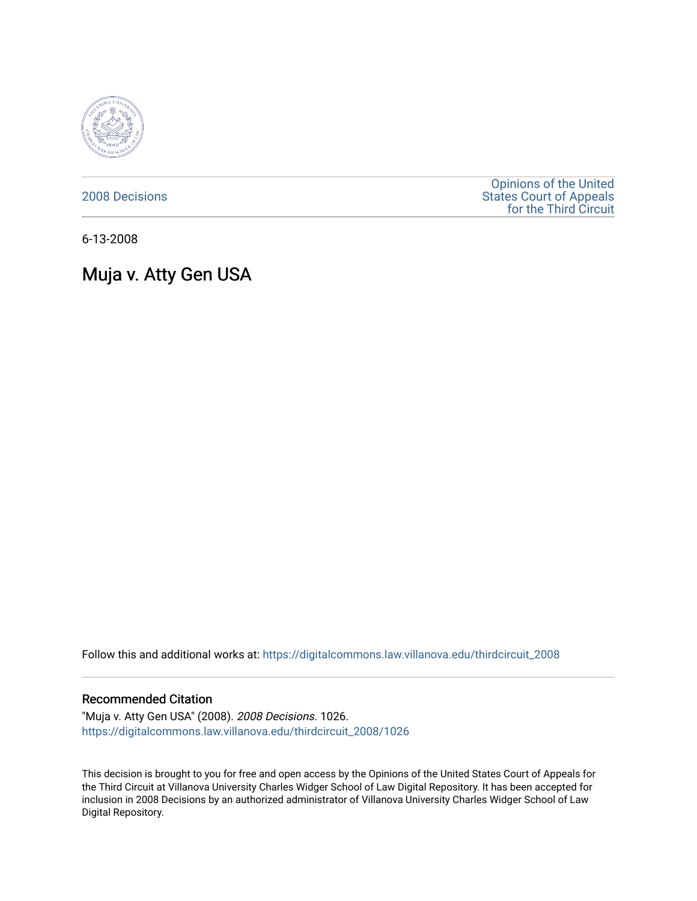

[2008 Decisions](https://digitalcommons.law.villanova.edu/thirdcircuit_2008)

[Opinions of the United](https://digitalcommons.law.villanova.edu/thirdcircuit)  [States Court of Appeals](https://digitalcommons.law.villanova.edu/thirdcircuit)  [for the Third Circuit](https://digitalcommons.law.villanova.edu/thirdcircuit) 

6-13-2008

# Muja v. Atty Gen USA

Follow this and additional works at: [https://digitalcommons.law.villanova.edu/thirdcircuit\\_2008](https://digitalcommons.law.villanova.edu/thirdcircuit_2008?utm_source=digitalcommons.law.villanova.edu%2Fthirdcircuit_2008%2F1026&utm_medium=PDF&utm_campaign=PDFCoverPages) 

### Recommended Citation

"Muja v. Atty Gen USA" (2008). 2008 Decisions. 1026. [https://digitalcommons.law.villanova.edu/thirdcircuit\\_2008/1026](https://digitalcommons.law.villanova.edu/thirdcircuit_2008/1026?utm_source=digitalcommons.law.villanova.edu%2Fthirdcircuit_2008%2F1026&utm_medium=PDF&utm_campaign=PDFCoverPages) 

This decision is brought to you for free and open access by the Opinions of the United States Court of Appeals for the Third Circuit at Villanova University Charles Widger School of Law Digital Repository. It has been accepted for inclusion in 2008 Decisions by an authorized administrator of Villanova University Charles Widger School of Law Digital Repository.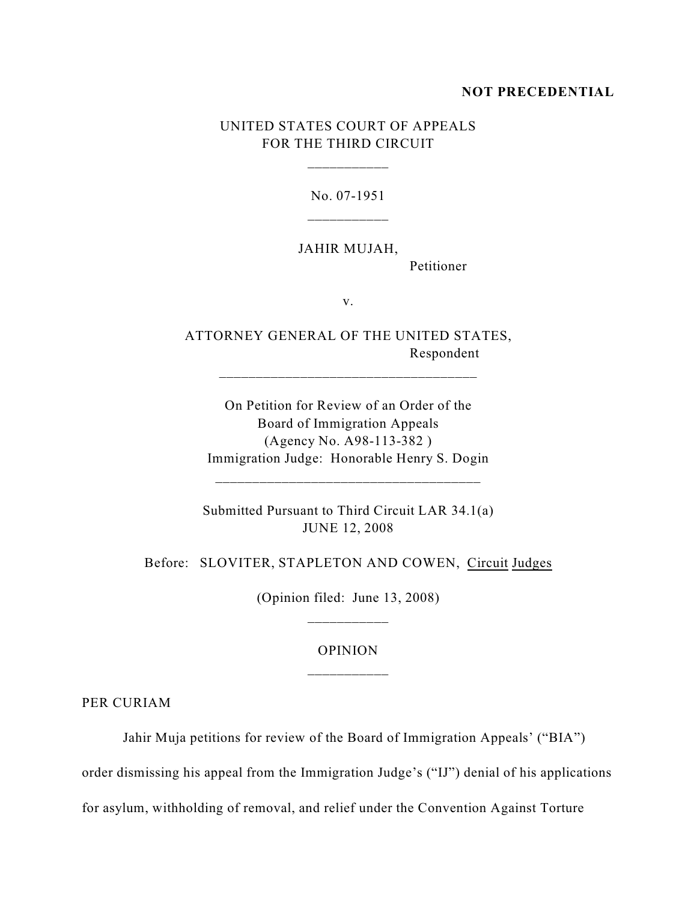#### **NOT PRECEDENTIAL**

# UNITED STATES COURT OF APPEALS FOR THE THIRD CIRCUIT

\_\_\_\_\_\_\_\_\_\_\_

No. 07-1951

### JAHIR MUJAH,

Petitioner

v.

ATTORNEY GENERAL OF THE UNITED STATES, Respondent

\_\_\_\_\_\_\_\_\_\_\_\_\_\_\_\_\_\_\_\_\_\_\_\_\_\_\_\_\_\_\_\_\_\_\_

On Petition for Review of an Order of the Board of Immigration Appeals (Agency No. A98-113-382 ) Immigration Judge: Honorable Henry S. Dogin

\_\_\_\_\_\_\_\_\_\_\_\_\_\_\_\_\_\_\_\_\_\_\_\_\_\_\_\_\_\_\_\_\_\_\_\_

Submitted Pursuant to Third Circuit LAR 34.1(a) JUNE 12, 2008

Before: SLOVITER, STAPLETON AND COWEN, Circuit Judges

(Opinion filed: June 13, 2008)

# OPINION \_\_\_\_\_\_\_\_\_\_\_

PER CURIAM

Jahir Muja petitions for review of the Board of Immigration Appeals' ("BIA")

order dismissing his appeal from the Immigration Judge's ("IJ") denial of his applications

for asylum, withholding of removal, and relief under the Convention Against Torture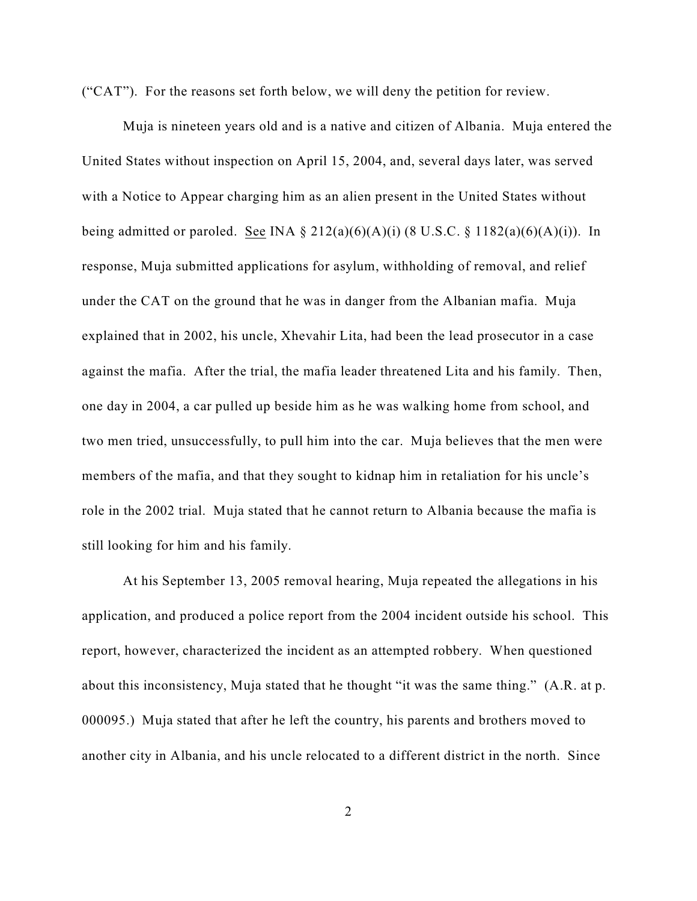("CAT"). For the reasons set forth below, we will deny the petition for review.

Muja is nineteen years old and is a native and citizen of Albania. Muja entered the United States without inspection on April 15, 2004, and, several days later, was served with a Notice to Appear charging him as an alien present in the United States without being admitted or paroled. See INA  $\S 212(a)(6)(A)(i)$  (8 U.S.C.  $\S 1182(a)(6)(A)(i)$ ). In response, Muja submitted applications for asylum, withholding of removal, and relief under the CAT on the ground that he was in danger from the Albanian mafia. Muja explained that in 2002, his uncle, Xhevahir Lita, had been the lead prosecutor in a case against the mafia. After the trial, the mafia leader threatened Lita and his family. Then, one day in 2004, a car pulled up beside him as he was walking home from school, and two men tried, unsuccessfully, to pull him into the car. Muja believes that the men were members of the mafia, and that they sought to kidnap him in retaliation for his uncle's role in the 2002 trial. Muja stated that he cannot return to Albania because the mafia is still looking for him and his family.

At his September 13, 2005 removal hearing, Muja repeated the allegations in his application, and produced a police report from the 2004 incident outside his school. This report, however, characterized the incident as an attempted robbery. When questioned about this inconsistency, Muja stated that he thought "it was the same thing." (A.R. at p. 000095.) Muja stated that after he left the country, his parents and brothers moved to another city in Albania, and his uncle relocated to a different district in the north. Since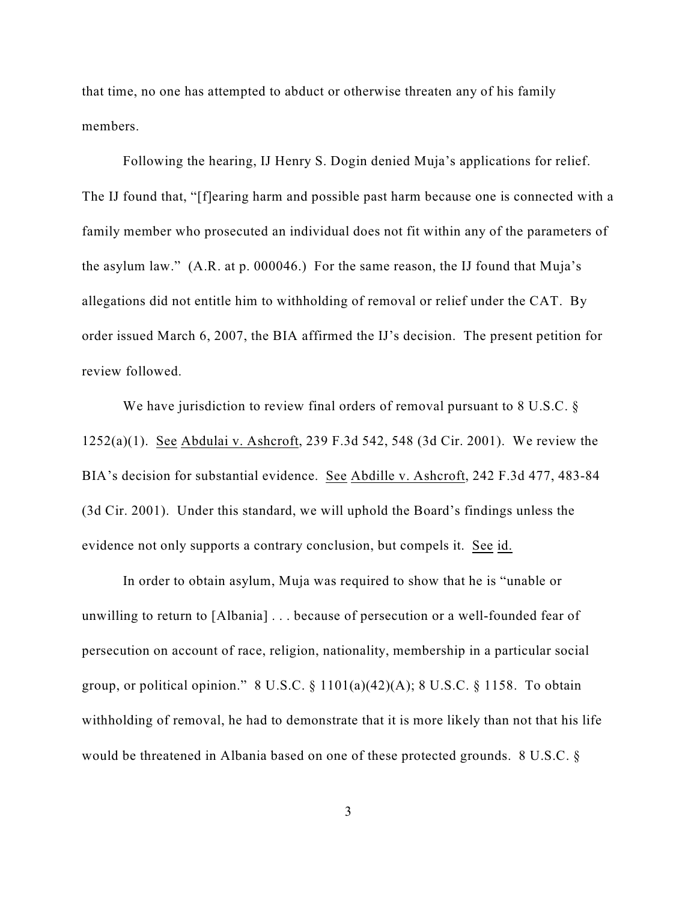that time, no one has attempted to abduct or otherwise threaten any of his family members.

Following the hearing, IJ Henry S. Dogin denied Muja's applications for relief. The IJ found that, "[f]earing harm and possible past harm because one is connected with a family member who prosecuted an individual does not fit within any of the parameters of the asylum law." (A.R. at p. 000046.) For the same reason, the IJ found that Muja's allegations did not entitle him to withholding of removal or relief under the CAT. By order issued March 6, 2007, the BIA affirmed the IJ's decision. The present petition for review followed.

We have jurisdiction to review final orders of removal pursuant to 8 U.S.C. § 1252(a)(1). See Abdulai v. Ashcroft, 239 F.3d 542, 548 (3d Cir. 2001). We review the BIA's decision for substantial evidence. See Abdille v. Ashcroft, 242 F.3d 477, 483-84 (3d Cir. 2001). Under this standard, we will uphold the Board's findings unless the evidence not only supports a contrary conclusion, but compels it. See id.

In order to obtain asylum, Muja was required to show that he is "unable or unwilling to return to [Albania] . . . because of persecution or a well-founded fear of persecution on account of race, religion, nationality, membership in a particular social group, or political opinion."  $8 \text{ U.S.C.} \$  $1101(a)(42)(A)$ ;  $8 \text{ U.S.C.} \$  $1158$ . To obtain withholding of removal, he had to demonstrate that it is more likely than not that his life would be threatened in Albania based on one of these protected grounds. 8 U.S.C. §

3